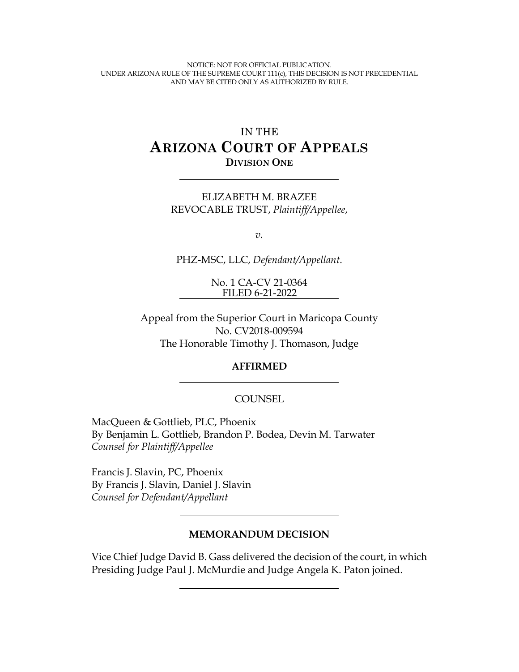NOTICE: NOT FOR OFFICIAL PUBLICATION. UNDER ARIZONA RULE OF THE SUPREME COURT 111(c), THIS DECISION IS NOT PRECEDENTIAL AND MAY BE CITED ONLY AS AUTHORIZED BY RULE.

# IN THE **ARIZONA COURT OF APPEALS DIVISION ONE**

ELIZABETH M. BRAZEE REVOCABLE TRUST, *Plaintiff/Appellee*,

*v.*

PHZ-MSC, LLC, *Defendant/Appellant*.

No. 1 CA-CV 21-0364 FILED 6-21-2022

Appeal from the Superior Court in Maricopa County No. CV2018-009594 The Honorable Timothy J. Thomason, Judge

#### **AFFIRMED**

#### COUNSEL

MacQueen & Gottlieb, PLC, Phoenix By Benjamin L. Gottlieb, Brandon P. Bodea, Devin M. Tarwater *Counsel for Plaintiff/Appellee*

Francis J. Slavin, PC, Phoenix By Francis J. Slavin, Daniel J. Slavin *Counsel for Defendant/Appellant*

#### **MEMORANDUM DECISION**

Vice Chief Judge David B. Gass delivered the decision of the court, in which Presiding Judge Paul J. McMurdie and Judge Angela K. Paton joined.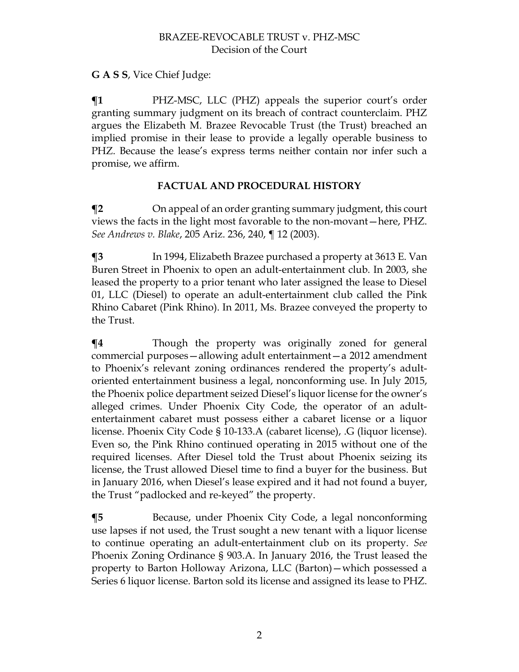## **G A S S**, Vice Chief Judge:

**¶1** PHZ-MSC, LLC (PHZ) appeals the superior court's order granting summary judgment on its breach of contract counterclaim. PHZ argues the Elizabeth M. Brazee Revocable Trust (the Trust) breached an implied promise in their lease to provide a legally operable business to PHZ. Because the lease's express terms neither contain nor infer such a promise, we affirm.

### **FACTUAL AND PROCEDURAL HISTORY**

**Trandom** T<sub>2</sub> On appeal of an order granting summary judgment, this court views the facts in the light most favorable to the non-movant—here, PHZ. *See Andrews v. Blake*, 205 Ariz. 236, 240, ¶ 12 (2003).

**¶3** In 1994, Elizabeth Brazee purchased a property at 3613 E. Van Buren Street in Phoenix to open an adult-entertainment club. In 2003, she leased the property to a prior tenant who later assigned the lease to Diesel 01, LLC (Diesel) to operate an adult-entertainment club called the Pink Rhino Cabaret (Pink Rhino). In 2011, Ms. Brazee conveyed the property to the Trust.

**¶4** Though the property was originally zoned for general commercial purposes—allowing adult entertainment—a 2012 amendment to Phoenix's relevant zoning ordinances rendered the property's adultoriented entertainment business a legal, nonconforming use. In July 2015, the Phoenix police department seized Diesel's liquor license for the owner's alleged crimes. Under Phoenix City Code, the operator of an adultentertainment cabaret must possess either a cabaret license or a liquor license. Phoenix City Code § 10-133.A (cabaret license), .G (liquor license). Even so, the Pink Rhino continued operating in 2015 without one of the required licenses. After Diesel told the Trust about Phoenix seizing its license, the Trust allowed Diesel time to find a buyer for the business. But in January 2016, when Diesel's lease expired and it had not found a buyer, the Trust "padlocked and re-keyed" the property.

**¶5** Because, under Phoenix City Code, a legal nonconforming use lapses if not used, the Trust sought a new tenant with a liquor license to continue operating an adult-entertainment club on its property. *See* Phoenix Zoning Ordinance § 903.A. In January 2016, the Trust leased the property to Barton Holloway Arizona, LLC (Barton)—which possessed a Series 6 liquor license. Barton sold its license and assigned its lease to PHZ.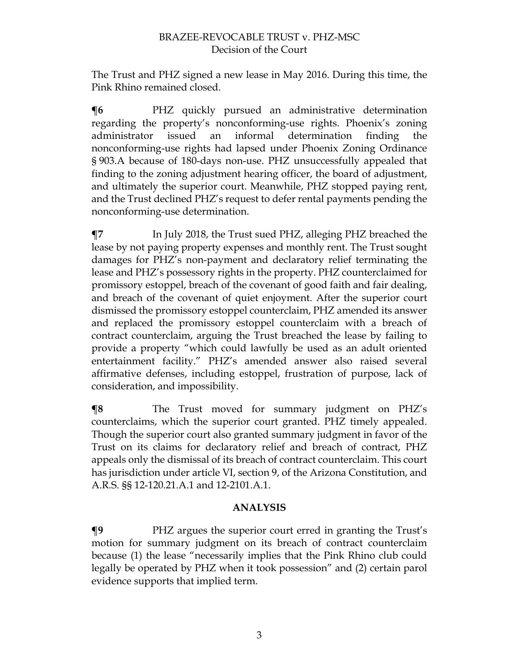The Trust and PHZ signed a new lease in May 2016. During this time, the Pink Rhino remained closed.

**¶6** PHZ quickly pursued an administrative determination regarding the property's nonconforming-use rights. Phoenix's zoning administrator issued an informal determination finding the nonconforming-use rights had lapsed under Phoenix Zoning Ordinance § 903.A because of 180-days non-use. PHZ unsuccessfully appealed that finding to the zoning adjustment hearing officer, the board of adjustment, and ultimately the superior court. Meanwhile, PHZ stopped paying rent, and the Trust declined PHZ's request to defer rental payments pending the nonconforming-use determination.

**¶7** In July 2018, the Trust sued PHZ, alleging PHZ breached the lease by not paying property expenses and monthly rent. The Trust sought damages for PHZ's non-payment and declaratory relief terminating the lease and PHZ's possessory rights in the property. PHZ counterclaimed for promissory estoppel, breach of the covenant of good faith and fair dealing, and breach of the covenant of quiet enjoyment. After the superior court dismissed the promissory estoppel counterclaim, PHZ amended its answer and replaced the promissory estoppel counterclaim with a breach of contract counterclaim, arguing the Trust breached the lease by failing to provide a property "which could lawfully be used as an adult oriented entertainment facility." PHZ's amended answer also raised several affirmative defenses, including estoppel, frustration of purpose, lack of consideration, and impossibility.

**¶8** The Trust moved for summary judgment on PHZ's counterclaims, which the superior court granted. PHZ timely appealed. Though the superior court also granted summary judgment in favor of the Trust on its claims for declaratory relief and breach of contract, PHZ appeals only the dismissal of its breach of contract counterclaim. This court has jurisdiction under article VI, section 9, of the Arizona Constitution, and A.R.S. §§ 12-120.21.A.1 and 12-2101.A.1.

### **ANALYSIS**

**¶9** PHZ argues the superior court erred in granting the Trust's motion for summary judgment on its breach of contract counterclaim because (1) the lease "necessarily implies that the Pink Rhino club could legally be operated by PHZ when it took possession" and (2) certain parol evidence supports that implied term.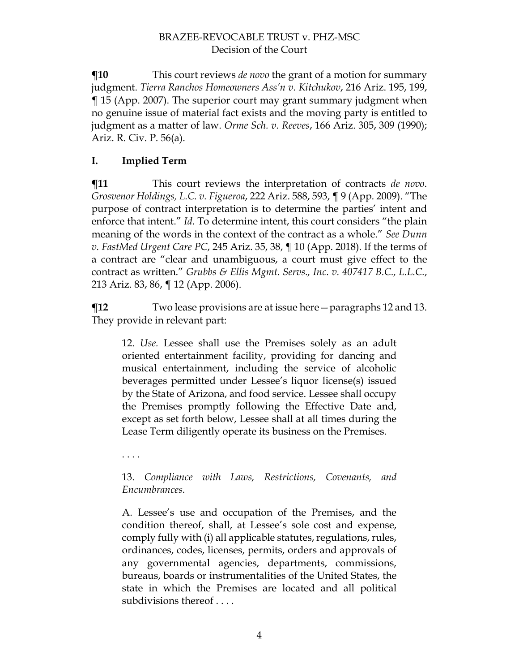**¶10** This court reviews *de novo* the grant of a motion for summary judgment. *Tierra Ranchos Homeowners Ass'n v. Kitchukov*, 216 Ariz. 195, 199, ¶ 15 (App. 2007). The superior court may grant summary judgment when no genuine issue of material fact exists and the moving party is entitled to judgment as a matter of law. *Orme Sch. v. Reeves*, 166 Ariz. 305, 309 (1990); Ariz. R. Civ. P. 56(a).

# **I. Implied Term**

**¶11** This court reviews the interpretation of contracts *de novo*. *Grosvenor Holdings, L.C. v. Figueroa*, 222 Ariz. 588, 593, ¶ 9 (App. 2009). "The purpose of contract interpretation is to determine the parties' intent and enforce that intent." *Id.* To determine intent, this court considers "the plain meaning of the words in the context of the contract as a whole." *See Dunn v. FastMed Urgent Care PC*, 245 Ariz. 35, 38, ¶ 10 (App. 2018). If the terms of a contract are "clear and unambiguous, a court must give effect to the contract as written." *Grubbs & Ellis Mgmt. Servs., Inc. v. 407417 B.C., L.L.C.*, 213 Ariz. 83, 86, ¶ 12 (App. 2006).

**¶12** Two lease provisions are at issue here—paragraphs 12 and 13. They provide in relevant part:

12. *Use.* Lessee shall use the Premises solely as an adult oriented entertainment facility, providing for dancing and musical entertainment, including the service of alcoholic beverages permitted under Lessee's liquor license(s) issued by the State of Arizona, and food service. Lessee shall occupy the Premises promptly following the Effective Date and, except as set forth below, Lessee shall at all times during the Lease Term diligently operate its business on the Premises.

. . . .

13. *Compliance with Laws, Restrictions, Covenants, and Encumbrances.*

A. Lessee's use and occupation of the Premises, and the condition thereof, shall, at Lessee's sole cost and expense, comply fully with (i) all applicable statutes, regulations, rules, ordinances, codes, licenses, permits, orders and approvals of any governmental agencies, departments, commissions, bureaus, boards or instrumentalities of the United States, the state in which the Premises are located and all political subdivisions thereof . . . .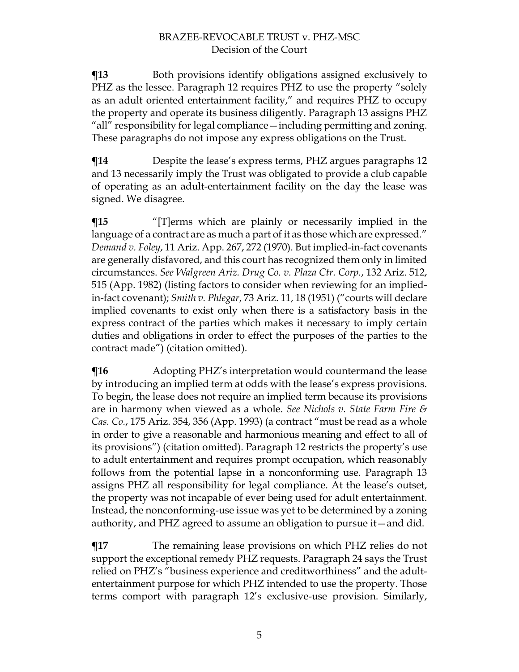**The Figure 3** Both provisions identify obligations assigned exclusively to PHZ as the lessee. Paragraph 12 requires PHZ to use the property "solely as an adult oriented entertainment facility," and requires PHZ to occupy the property and operate its business diligently. Paragraph 13 assigns PHZ "all" responsibility for legal compliance—including permitting and zoning. These paragraphs do not impose any express obligations on the Trust.

**¶14** Despite the lease's express terms, PHZ argues paragraphs 12 and 13 necessarily imply the Trust was obligated to provide a club capable of operating as an adult-entertainment facility on the day the lease was signed. We disagree.

**¶15** "[T]erms which are plainly or necessarily implied in the language of a contract are as much a part of it as those which are expressed." *Demand v. Foley*, 11 Ariz. App. 267, 272 (1970). But implied-in-fact covenants are generally disfavored, and this court has recognized them only in limited circumstances. *See Walgreen Ariz. Drug Co. v. Plaza Ctr. Corp.*, 132 Ariz. 512, 515 (App. 1982) (listing factors to consider when reviewing for an impliedin-fact covenant); *Smith v. Phlegar*, 73 Ariz. 11, 18 (1951) ("courts will declare implied covenants to exist only when there is a satisfactory basis in the express contract of the parties which makes it necessary to imply certain duties and obligations in order to effect the purposes of the parties to the contract made") (citation omitted).

 $\P$ **16** Adopting PHZ's interpretation would countermand the lease by introducing an implied term at odds with the lease's express provisions. To begin, the lease does not require an implied term because its provisions are in harmony when viewed as a whole. *See Nichols v. State Farm Fire & Cas. Co.*, 175 Ariz. 354, 356 (App. 1993) (a contract "must be read as a whole in order to give a reasonable and harmonious meaning and effect to all of its provisions") (citation omitted). Paragraph 12 restricts the property's use to adult entertainment and requires prompt occupation, which reasonably follows from the potential lapse in a nonconforming use. Paragraph 13 assigns PHZ all responsibility for legal compliance. At the lease's outset, the property was not incapable of ever being used for adult entertainment. Instead, the nonconforming-use issue was yet to be determined by a zoning authority, and PHZ agreed to assume an obligation to pursue it—and did.

**¶17** The remaining lease provisions on which PHZ relies do not support the exceptional remedy PHZ requests. Paragraph 24 says the Trust relied on PHZ's "business experience and creditworthiness" and the adultentertainment purpose for which PHZ intended to use the property. Those terms comport with paragraph 12's exclusive-use provision. Similarly,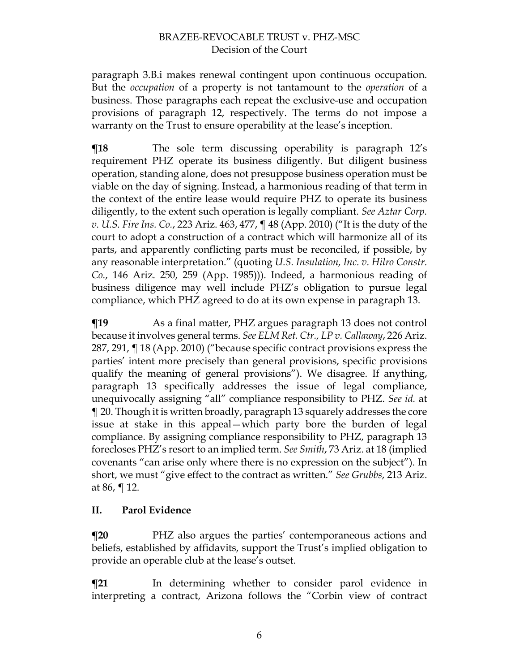paragraph 3.B.i makes renewal contingent upon continuous occupation. But the *occupation* of a property is not tantamount to the *operation* of a business. Those paragraphs each repeat the exclusive-use and occupation provisions of paragraph 12, respectively. The terms do not impose a warranty on the Trust to ensure operability at the lease's inception.

**The sole term discussing operability is paragraph 12's** requirement PHZ operate its business diligently. But diligent business operation, standing alone, does not presuppose business operation must be viable on the day of signing. Instead, a harmonious reading of that term in the context of the entire lease would require PHZ to operate its business diligently, to the extent such operation is legally compliant. *See Aztar Corp. v. U.S. Fire Ins. Co.*, 223 Ariz. 463, 477, ¶ 48 (App. 2010) ("It is the duty of the court to adopt a construction of a contract which will harmonize all of its parts, and apparently conflicting parts must be reconciled, if possible, by any reasonable interpretation." (quoting *U.S. Insulation, Inc. v. Hilro Constr. Co.*, 146 Ariz. 250, 259 (App. 1985))). Indeed, a harmonious reading of business diligence may well include PHZ's obligation to pursue legal compliance, which PHZ agreed to do at its own expense in paragraph 13.

 $\P$ **19** As a final matter, PHZ argues paragraph 13 does not control because it involves general terms. *See ELM Ret. Ctr., LP v. Callaway*, 226 Ariz. 287, 291, ¶ 18 (App. 2010) ("because specific contract provisions express the parties' intent more precisely than general provisions, specific provisions qualify the meaning of general provisions"). We disagree. If anything, paragraph 13 specifically addresses the issue of legal compliance, unequivocally assigning "all" compliance responsibility to PHZ. *See id.* at ¶ 20. Though it is written broadly, paragraph 13 squarely addresses the core issue at stake in this appeal—which party bore the burden of legal compliance. By assigning compliance responsibility to PHZ, paragraph 13 forecloses PHZ's resort to an implied term. *See Smith*, 73 Ariz. at 18 (implied covenants "can arise only where there is no expression on the subject"). In short, we must "give effect to the contract as written." *See Grubbs*, 213 Ariz. at 86, ¶ 12.

### **II. Parol Evidence**

**¶20** PHZ also argues the parties' contemporaneous actions and beliefs, established by affidavits, support the Trust's implied obligation to provide an operable club at the lease's outset.

**¶21** In determining whether to consider parol evidence in interpreting a contract, Arizona follows the "Corbin view of contract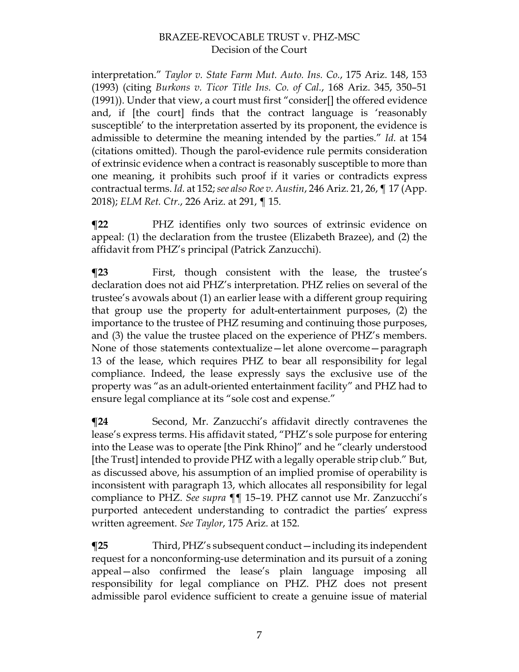interpretation." *Taylor v. State Farm Mut. Auto. Ins. Co.*, 175 Ariz. 148, 153 (1993) (citing *Burkons v. Ticor Title Ins. Co. of Cal.*, 168 Ariz. 345, 350–51 (1991)). Under that view, a court must first "consider[] the offered evidence and, if [the court] finds that the contract language is 'reasonably susceptible' to the interpretation asserted by its proponent, the evidence is admissible to determine the meaning intended by the parties." *Id.* at 154 (citations omitted). Though the parol-evidence rule permits consideration of extrinsic evidence when a contract is reasonably susceptible to more than one meaning, it prohibits such proof if it varies or contradicts express contractual terms. *Id.* at 152; *see also Roe v. Austin*, 246 Ariz. 21, 26, ¶ 17 (App. 2018); *ELM Ret. Ctr.*, 226 Ariz. at 291, ¶ 15.

**¶22** PHZ identifies only two sources of extrinsic evidence on appeal: (1) the declaration from the trustee (Elizabeth Brazee), and (2) the affidavit from PHZ's principal (Patrick Zanzucchi).

**¶23** First, though consistent with the lease, the trustee's declaration does not aid PHZ's interpretation. PHZ relies on several of the trustee's avowals about (1) an earlier lease with a different group requiring that group use the property for adult-entertainment purposes, (2) the importance to the trustee of PHZ resuming and continuing those purposes, and (3) the value the trustee placed on the experience of PHZ's members. None of those statements contextualize—let alone overcome—paragraph 13 of the lease, which requires PHZ to bear all responsibility for legal compliance. Indeed, the lease expressly says the exclusive use of the property was "as an adult-oriented entertainment facility" and PHZ had to ensure legal compliance at its "sole cost and expense."

**¶24** Second, Mr. Zanzucchi's affidavit directly contravenes the lease's express terms. His affidavit stated, "PHZ's sole purpose for entering into the Lease was to operate [the Pink Rhino]" and he "clearly understood [the Trust] intended to provide PHZ with a legally operable strip club." But, as discussed above, his assumption of an implied promise of operability is inconsistent with paragraph 13, which allocates all responsibility for legal compliance to PHZ. *See supra* ¶¶ 15–19. PHZ cannot use Mr. Zanzucchi's purported antecedent understanding to contradict the parties' express written agreement. *See Taylor*, 175 Ariz. at 152.

**¶25** Third, PHZ's subsequent conduct—including its independent request for a nonconforming-use determination and its pursuit of a zoning appeal—also confirmed the lease's plain language imposing all responsibility for legal compliance on PHZ. PHZ does not present admissible parol evidence sufficient to create a genuine issue of material